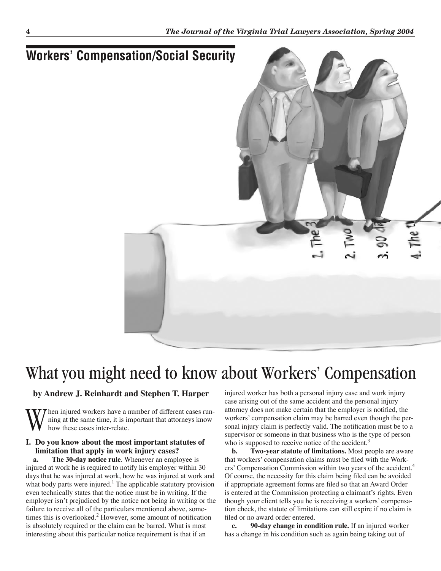

# What you might need to know about Workers' Compensation

## **by Andrew J. Reinhardt and Stephen T. Harper**

W hen injured workers have a number of different cases run-<br>how these cases inter-relate.<br>Now these cases inter-relate. ning at the same time, it is important that attorneys know how these cases inter-relate.

#### **I. Do you know about the most important statutes of limitation that apply in work injury cases?**

**a. The 30-day notice rule**. Whenever an employee is injured at work he is required to notify his employer within 30 days that he was injured at work, how he was injured at work and what body parts were injured.<sup>1</sup> The applicable statutory provision even technically states that the notice must be in writing. If the employer isn't prejudiced by the notice not being in writing or the failure to receive all of the particulars mentioned above, sometimes this is overlooked.<sup>2</sup> However, some amount of notification is absolutely required or the claim can be barred. What is most interesting about this particular notice requirement is that if an

injured worker has both a personal injury case and work injury case arising out of the same accident and the personal injury attorney does not make certain that the employer is notified, the workers' compensation claim may be barred even though the personal injury claim is perfectly valid. The notification must be to a supervisor or someone in that business who is the type of person who is supposed to receive notice of the accident.<sup>3</sup>

**b. Two-year statute of limitations.** Most people are aware that workers' compensation claims must be filed with the Workers' Compensation Commission within two years of the accident.<sup>4</sup> Of course, the necessity for this claim being filed can be avoided if appropriate agreement forms are filed so that an Award Order is entered at the Commission protecting a claimant's rights. Even though your client tells you he is receiving a workers' compensation check, the statute of limitations can still expire if no claim is filed or no award order entered.

**c. 90-day change in condition rule.** If an injured worker has a change in his condition such as again being taking out of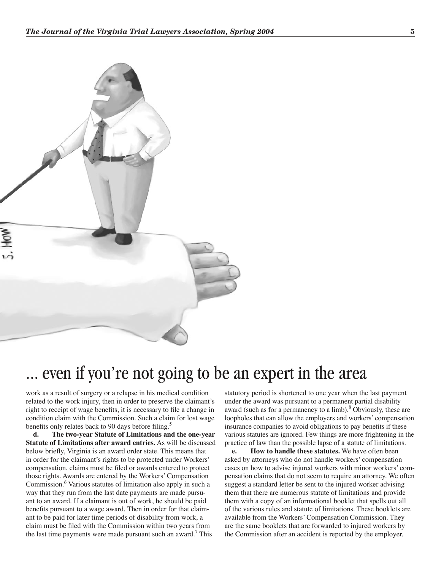

## even if you're not going to be an expert in the area

work as a result of surgery or a relapse in his medical condition related to the work injury, then in order to preserve the claimant's right to receipt of wage benefits, it is necessary to file a change in condition claim with the Commission. Such a claim for lost wage benefits only relates back to 90 days before filing.<sup>5</sup>

**d. The two-year Statute of Limitations and the one-year Statute of Limitations after award entries.** As will be discussed below briefly, Virginia is an award order state. This means that in order for the claimant's rights to be protected under Workers' compensation, claims must be filed or awards entered to protect those rights. Awards are entered by the Workers' Compensation Commission.<sup>6</sup> Various statutes of limitation also apply in such a way that they run from the last date payments are made pursuant to an award. If a claimant is out of work, he should be paid benefits pursuant to a wage award. Then in order for that claimant to be paid for later time periods of disability from work, a claim must be filed with the Commission within two years from the last time payments were made pursuant such an award.<sup>7</sup> This

statutory period is shortened to one year when the last payment under the award was pursuant to a permanent partial disability award (such as for a permanency to a limb).<sup>8</sup> Obviously, these are loopholes that can allow the employers and workers' compensation insurance companies to avoid obligations to pay benefits if these various statutes are ignored. Few things are more frightening in the practice of law than the possible lapse of a statute of limitations.

**e. How to handle these statutes.** We have often been asked by attorneys who do not handle workers' compensation cases on how to advise injured workers with minor workers' compensation claims that do not seem to require an attorney. We often suggest a standard letter be sent to the injured worker advising them that there are numerous statute of limitations and provide them with a copy of an informational booklet that spells out all of the various rules and statute of limitations. These booklets are available from the Workers' Compensation Commission. They are the same booklets that are forwarded to injured workers by the Commission after an accident is reported by the employer.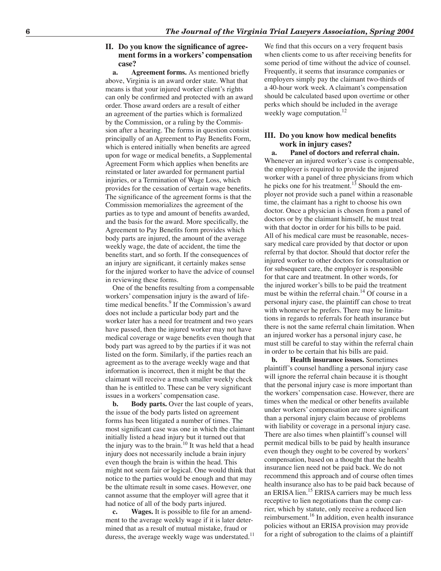#### **II. Do you know the significance of agreement forms in a workers' compensation case?**

**a. Agreement forms.** As mentioned briefly above, Virginia is an award order state. What that means is that your injured worker client's rights can only be confirmed and protected with an award order. Those award orders are a result of either an agreement of the parties which is formalized by the Commission, or a ruling by the Commission after a hearing. The forms in question consist principally of an Agreement to Pay Benefits Form, which is entered initially when benefits are agreed upon for wage or medical benefits, a Supplemental Agreement Form which applies when benefits are reinstated or later awarded for permanent partial injuries, or a Termination of Wage Loss, which provides for the cessation of certain wage benefits. The significance of the agreement forms is that the Commission memorializes the agreement of the parties as to type and amount of benefits awarded, and the basis for the award. More specifically, the Agreement to Pay Benefits form provides which body parts are injured, the amount of the average weekly wage, the date of accident, the time the benefits start, and so forth. If the consequences of an injury are significant, it certainly makes sense for the injured worker to have the advice of counsel in reviewing these forms.

One of the benefits resulting from a compensable workers' compensation injury is the award of lifetime medical benefits.<sup>9</sup> If the Commission's award does not include a particular body part and the worker later has a need for treatment and two years have passed, then the injured worker may not have medical coverage or wage benefits even though that body part was agreed to by the parties if it was not listed on the form. Similarly, if the parties reach an agreement as to the average weekly wage and that information is incorrect, then it might be that the claimant will receive a much smaller weekly check than he is entitled to. These can be very significant issues in a workers' compensation case.

**b. Body parts.** Over the last couple of years, the issue of the body parts listed on agreement forms has been litigated a number of times. The most significant case was one in which the claimant initially listed a head injury but it turned out that the injury was to the brain.<sup>10</sup> It was held that a head injury does not necessarily include a brain injury even though the brain is within the head. This might not seem fair or logical. One would think that notice to the parties would be enough and that may be the ultimate result in some cases. However, one cannot assume that the employer will agree that it had notice of all of the body parts injured.

**c. Wages.** It is possible to file for an amendment to the average weekly wage if it is later determined that as a result of mutual mistake, fraud or duress, the average weekly wage was understated.<sup>11</sup> We find that this occurs on a very frequent basis when clients come to us after receiving benefits for some period of time without the advice of counsel. Frequently, it seems that insurance companies or employers simply pay the claimant two-thirds of a 40-hour work week. A claimant's compensation should be calculated based upon overtime or other perks which should be included in the average weekly wage computation.<sup>12</sup>

#### **III. Do you know how medical benefits work in injury cases?**

**a. Panel of doctors and referral chain.** Whenever an injured worker's case is compensable, the employer is required to provide the injured worker with a panel of three physicians from which he picks one for his treatment.<sup>13</sup> Should the employer not provide such a panel within a reasonable time, the claimant has a right to choose his own doctor. Once a physician is chosen from a panel of doctors or by the claimant himself, he must treat with that doctor in order for his bills to be paid. All of his medical care must be reasonable, necessary medical care provided by that doctor or upon referral by that doctor. Should that doctor refer the injured worker to other doctors for consultation or for subsequent care, the employer is responsible for that care and treatment. In other words, for the injured worker's bills to be paid the treatment must be within the referral chain.<sup>14</sup> Of course in a personal injury case, the plaintiff can chose to treat with whomever he prefers. There may be limitations in regards to referrals for heath insurance but there is not the same referral chain limitation. When an injured worker has a personal injury case, he must still be careful to stay within the referral chain in order to be certain that his bills are paid.

**b. Health insurance issues.** Sometimes plaintiff's counsel handling a personal injury case will ignore the referral chain because it is thought that the personal injury case is more important than the workers' compensation case. However, there are times when the medical or other benefits available under workers' compensation are more significant than a personal injury claim because of problems with liability or coverage in a personal injury case. There are also times when plaintiff's counsel will permit medical bills to be paid by health insurance even though they ought to be covered by workers' compensation, based on a thought that the health insurance lien need not be paid back. We do not recommend this approach and of course often times health insurance also has to be paid back because of an ERISA lien.<sup>15</sup> ERISA carriers may be much less receptive to lien negotiations than the comp carrier, which by statute, only receive a reduced lien reimbursement.<sup>16</sup> In addition, even health insurance policies without an ERISA provision may provide for a right of subrogation to the claims of a plaintiff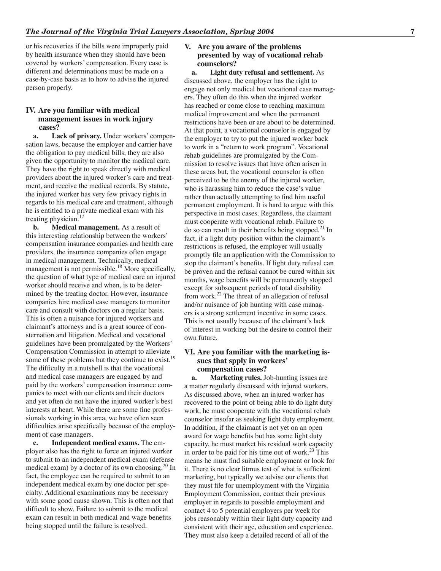or his recoveries if the bills were improperly paid by health insurance when they should have been covered by workers' compensation. Every case is different and determinations must be made on a case-by-case basis as to how to advise the injured person properly.

### **IV. Are you familiar with medical management issues in work injury cases?**

**a. Lack of privacy.** Under workers' compensation laws, because the employer and carrier have the obligation to pay medical bills, they are also given the opportunity to monitor the medical care. They have the right to speak directly with medical providers about the injured worker's care and treatment, and receive the medical records. By statute, the injured worker has very few privacy rights in regards to his medical care and treatment, although he is entitled to a private medical exam with his treating physician. $17$ 

**b.** Medical management. As a result of this interesting relationship between the workers' compensation insurance companies and health care providers, the insurance companies often engage in medical management. Technically, medical management is not permissible.<sup>18</sup> More specifically, the question of what type of medical care an injured worker should receive and when, is to be determined by the treating doctor. However, insurance companies hire medical case managers to monitor care and consult with doctors on a regular basis. This is often a nuisance for injured workers and claimant's attorneys and is a great source of consternation and litigation. Medical and vocational guidelines have been promulgated by the Workers' Compensation Commission in attempt to alleviate some of these problems but they continue to exist.<sup>19</sup> The difficulty in a nutshell is that the vocational and medical case managers are engaged by and paid by the workers' compensation insurance companies to meet with our clients and their doctors and yet often do not have the injured worker's best interests at heart. While there are some fine professionals working in this area, we have often seen difficulties arise specifically because of the employment of case managers.

**c. Independent medical exams.** The employer also has the right to force an injured worker to submit to an independent medical exam (defense medical exam) by a doctor of its own choosing.<sup>20</sup> In fact, the employee can be required to submit to an independent medical exam by one doctor per specialty. Additional examinations may be necessary with some good cause shown. This is often not that difficult to show. Failure to submit to the medical exam can result in both medical and wage benefits being stopped until the failure is resolved.

### **V. Are you aware of the problems presented by way of vocational rehab counselors?**

**a. Light duty refusal and settlement.** As discussed above, the employer has the right to engage not only medical but vocational case managers. They often do this when the injured worker has reached or come close to reaching maximum medical improvement and when the permanent restrictions have been or are about to be determined. At that point, a vocational counselor is engaged by the employer to try to put the injured worker back to work in a "return to work program". Vocational rehab guidelines are promulgated by the Commission to resolve issues that have often arisen in these areas but, the vocational counselor is often perceived to be the enemy of the injured worker, who is harassing him to reduce the case's value rather than actually attempting to find him useful permanent employment. It is hard to argue with this perspective in most cases. Regardless, the claimant must cooperate with vocational rehab. Failure to do so can result in their benefits being stopped. $21$  In fact, if a light duty position within the claimant's restrictions is refused, the employer will usually promptly file an application with the Commission to stop the claimant's benefits. If light duty refusal can be proven and the refusal cannot be cured within six months, wage benefits will be permanently stopped except for subsequent periods of total disability from work. $^{22}$  The threat of an allegation of refusal and/or nuisance of job hunting with case managers is a strong settlement incentive in some cases. This is not usually because of the claimant's lack of interest in working but the desire to control their own future.

#### **VI. Are you familiar with the marketing issues that spply in workers' compensation cases?**

**a. Marketing rules.** Job-hunting issues are a matter regularly discussed with injured workers. As discussed above, when an injured worker has recovered to the point of being able to do light duty work, he must cooperate with the vocational rehab counselor insofar as seeking light duty employment. In addition, if the claimant is not yet on an open award for wage benefits but has some light duty capacity, he must market his residual work capacity in order to be paid for his time out of work.<sup>23</sup> This means he must find suitable employment or look for it. There is no clear litmus test of what is sufficient marketing, but typically we advise our clients that they must file for unemployment with the Virginia Employment Commission, contact their previous employer in regards to possible employment and contact 4 to 5 potential employers per week for jobs reasonably within their light duty capacity and consistent with their age, education and experience. They must also keep a detailed record of all of the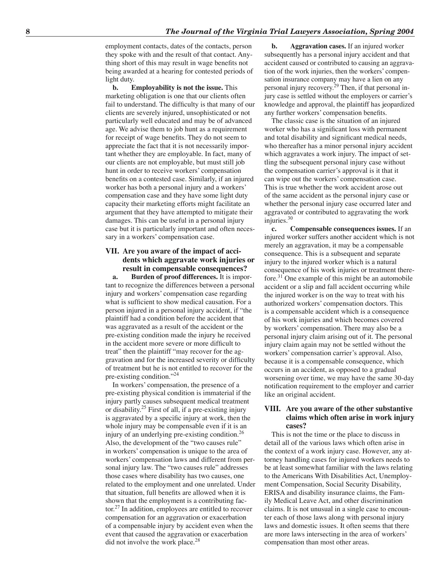employment contacts, dates of the contacts, person they spoke with and the result of that contact. Anything short of this may result in wage benefits not being awarded at a hearing for contested periods of light duty.

**b. Employability is not the issue.** This marketing obligation is one that our clients often fail to understand. The difficulty is that many of our clients are severely injured, unsophisticated or not particularly well educated and may be of advanced age. We advise them to job hunt as a requirement for receipt of wage benefits. They do not seem to appreciate the fact that it is not necessarily important whether they are employable. In fact, many of our clients are not employable, but must still job hunt in order to receive workers' compensation benefits on a contested case. Similarly, if an injured worker has both a personal injury and a workers' compensation case and they have some light duty capacity their marketing efforts might facilitate an argument that they have attempted to mitigate their damages. This can be useful in a personal injury case but it is particularly important and often necessary in a workers' compensation case.

### **VII. Are you aware of the impact of accidents which aggravate work injuries or result in compensable consequences?**

**a. Burden of proof differences.** It is important to recognize the differences between a personal injury and workers' compensation case regarding what is sufficient to show medical causation. For a person injured in a personal injury accident, if "the plaintiff had a condition before the accident that was aggravated as a result of the accident or the pre-existing condition made the injury he received in the accident more severe or more difficult to treat" then the plaintiff "may recover for the aggravation and for the increased severity or difficulty of treatment but he is not entitled to recover for the pre-existing condition."<sup>24</sup>

In workers' compensation, the presence of a pre-existing physical condition is immaterial if the injury partly causes subsequent medical treatment or disability.<sup>25</sup> First of all, if a pre-existing injury is aggravated by a specific injury at work, then the whole injury may be compensable even if it is an injury of an underlying pre-existing condition.<sup>26</sup> Also, the development of the "two causes rule" in workers' compensation is unique to the area of workers' compensation laws and different from personal injury law. The "two causes rule" addresses those cases where disability has two causes, one related to the employment and one unrelated. Under that situation, full benefits are allowed when it is shown that the employment is a contributing factor.<sup>27</sup> In addition, employees are entitled to recover compensation for an aggravation or exacerbation of a compensable injury by accident even when the event that caused the aggravation or exacerbation did not involve the work place. $28$ 

**b. Aggravation cases.** If an injured worker subsequently has a personal injury accident and that accident caused or contributed to causing an aggravation of the work injuries, then the workers' compensation insurance company may have a lien on any personal injury recovery.<sup>29</sup> Then, if that personal injury case is settled without the employers or carrier's knowledge and approval, the plaintiff has jeopardized any further workers' compensation benefits.

The classic case is the situation of an injured worker who has a significant loss with permanent and total disability and significant medical needs, who thereafter has a minor personal injury accident which aggravates a work injury. The impact of settling the subsequent personal injury case without the compensation carrier's approval is it that it can wipe out the workers' compensation case. This is true whether the work accident arose out of the same accident as the personal injury case or whether the personal injury case occurred later and aggravated or contributed to aggravating the work injuries. $30$ 

**c. Compensable consequences issues.** If an injured worker suffers another accident which is not merely an aggravation, it may be a compensable consequence. This is a subsequent and separate injury to the injured worker which is a natural consequence of his work injuries or treatment therefore.<sup>31</sup> One example of this might be an automobile accident or a slip and fall accident occurring while the injured worker is on the way to treat with his authorized workers' compensation doctors. This is a compensable accident which is a consequence of his work injuries and which becomes covered by workers' compensation. There may also be a personal injury claim arising out of it. The personal injury claim again may not be settled without the workers' compensation carrier's approval. Also, because it is a compensable consequence, which occurs in an accident, as opposed to a gradual worsening over time, we may have the same 30-day notification requirement to the employer and carrier like an original accident.

### **VIII. Are you aware of the other substantive claims which often arise in work injury cases?**

This is not the time or the place to discuss in detail all of the various laws which often arise in the context of a work injury case. However, any attorney handling cases for injured workers needs to be at least somewhat familiar with the laws relating to the Americans With Disabilities Act, Unemployment Compensation, Social Security Disability, ERISA and disability insurance claims, the Family Medical Leave Act, and other discrimination claims. It is not unusual in a single case to encounter each of those laws along with personal injury laws and domestic issues. It often seems that there are more laws intersecting in the area of workers' compensation than most other areas.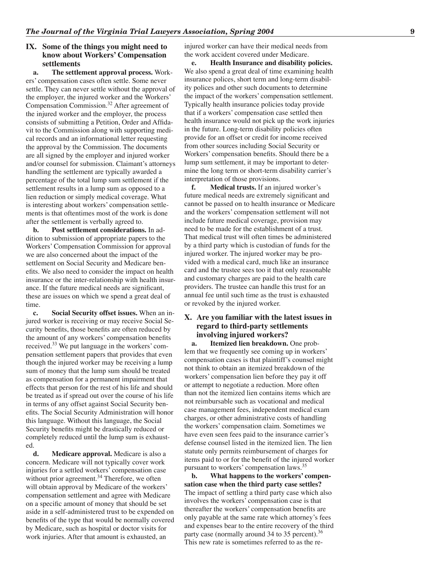### **IX. Some of the things you might need to know about Workers' Compensation settlements**

**a. The settlement approval process.** Workers' compensation cases often settle. Some never settle. They can never settle without the approval of the employer, the injured worker and the Workers' Compensation Commission.<sup>32</sup> After agreement of the injured worker and the employer, the process consists of submitting a Petition, Order and Affidavit to the Commission along with supporting medical records and an informational letter requesting the approval by the Commission. The documents are all signed by the employer and injured worker and/or counsel for submission. Claimant's attorneys handling the settlement are typically awarded a percentage of the total lump sum settlement if the settlement results in a lump sum as opposed to a lien reduction or simply medical coverage. What is interesting about workers' compensation settlements is that oftentimes most of the work is done after the settlement is verbally agreed to.

**b. Post settlement considerations.** In addition to submission of appropriate papers to the Workers' Compensation Commission for approval we are also concerned about the impact of the settlement on Social Security and Medicare benefits. We also need to consider the impact on health insurance or the inter-relationship with health insurance. If the future medical needs are significant, these are issues on which we spend a great deal of time.

**c. Social Security offset issues.** When an injured worker is receiving or may receive Social Security benefits, those benefits are often reduced by the amount of any workers' compensation benefits received.<sup>33</sup> We put language in the workers' compensation settlement papers that provides that even though the injured worker may be receiving a lump sum of money that the lump sum should be treated as compensation for a permanent impairment that effects that person for the rest of his life and should be treated as if spread out over the course of his life in terms of any offset against Social Security benefits. The Social Security Administration will honor this language. Without this language, the Social Security benefits might be drastically reduced or completely reduced until the lump sum is exhausted.

**d. Medicare approval.** Medicare is also a concern. Medicare will not typically cover work injuries for a settled workers' compensation case without prior agreement.<sup>34</sup> Therefore, we often will obtain approval by Medicare of the workers' compensation settlement and agree with Medicare on a specific amount of money that should be set aside in a self-administered trust to be expended on benefits of the type that would be normally covered by Medicare, such as hospital or doctor visits for work injuries. After that amount is exhausted, an

injured worker can have their medical needs from the work accident covered under Medicare.

**e. Health Insurance and disability policies.**  We also spend a great deal of time examining health insurance polices, short term and long-term disability polices and other such documents to determine the impact of the workers' compensation settlement. Typically health insurance policies today provide that if a workers' compensation case settled then health insurance would not pick up the work injuries in the future. Long-term disability policies often provide for an offset or credit for income received from other sources including Social Security or Workers' compensation benefits. Should there be a lump sum settlement, it may be important to determine the long term or short-term disability carrier's interpretation of those provisions.<br> **f.** Medical trusts. If an inj

**Medical trusts.** If an injured worker's future medical needs are extremely significant and cannot be passed on to health insurance or Medicare and the workers' compensation settlement will not include future medical coverage, provision may need to be made for the establishment of a trust. That medical trust will often times be administered by a third party which is custodian of funds for the injured worker. The injured worker may be provided with a medical card, much like an insurance card and the trustee sees too it that only reasonable and customary charges are paid to the health care providers. The trustee can handle this trust for an annual fee until such time as the trust is exhausted or revoked by the injured worker.

## **X. Are you familiar with the latest issues in regard to third-party settlements involving injured workers?**

**a. Itemized lien breakdown.** One problem that we frequently see coming up in workers' compensation cases is that plaintiff's counsel might not think to obtain an itemized breakdown of the workers' compensation lien before they pay it off or attempt to negotiate a reduction. More often than not the itemized lien contains items which are not reimbursable such as vocational and medical case management fees, independent medical exam charges, or other administrative costs of handling the workers' compensation claim. Sometimes we have even seen fees paid to the insurance carrier's defense counsel listed in the itemized lien. The lien statute only permits reimbursement of charges for items paid to or for the benefit of the injured worker pursuant to workers' compensation laws.<sup>35</sup>

**b. What happens to the workers' compensation case when the third party case settles?**  The impact of settling a third party case which also involves the workers' compensation case is that thereafter the workers' compensation benefits are only payable at the same rate which attorney's fees and expenses bear to the entire recovery of the third party case (normally around 34 to 35 percent).<sup>36</sup> This new rate is sometimes referred to as the re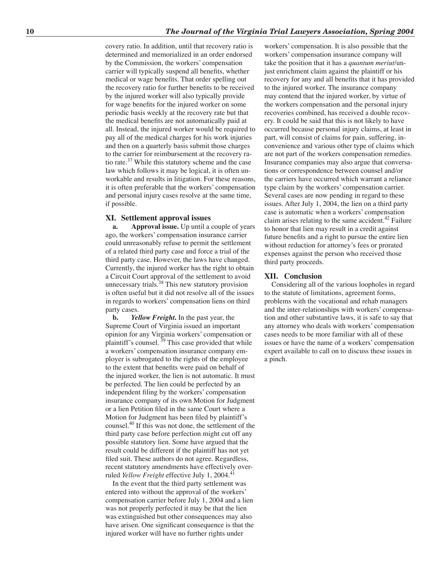covery ratio. In addition, until that recovery ratio is determined and memorialized in an order endorsed by the Commission, the workers' compensation carrier will typically suspend all benefits, whether medical or wage benefits. That order spelling out the recovery ratio for further benefits to be received by the injured worker will also typically provide for wage benefits for the injured worker on some periodic basis weekly at the recovery rate but that the medical benefits are not automatically paid at all. Instead, the injured worker would be required to pay all of the medical charges for his work injuries and then on a quarterly basis submit those charges to the carrier for reimbursement at the recovery ratio rate.<sup>37</sup> While this statutory scheme and the case law which follows it may be logical, it is often unworkable and results in litigation. For these reasons, it is often preferable that the workers' compensation and personal injury cases resolve at the same time, if possible.

#### **XI. Settlement approval issues**

**a. Approval issue.** Up until a couple of years ago, the workers' compensation insurance carrier could unreasonably refuse to permit the settlement of a related third party case and force a trial of the third party case. However, the laws have changed. Currently, the injured worker has the right to obtain a Circuit Court approval of the settlement to avoid unnecessary trials.<sup>38</sup> This new statutory provision is often useful but it did not resolve all of the issues in regards to workers' compensation liens on third party cases.

**b.** *Yellow Freight***.** In the past year, the Supreme Court of Virginia issued an important opinion for any Virginia workers' compensation or plaintiff's counsel.<sup>39</sup> This case provided that while a workers' compensation insurance company employer is subrogated to the rights of the employee to the extent that benefits were paid on behalf of the injured worker, the lien is not automatic. It must be perfected. The lien could be perfected by an independent filing by the workers' compensation insurance company of its own Motion for Judgment or a lien Petition filed in the same Court where a Motion for Judgment has been filed by plaintiff's counsel.<sup>40</sup> If this was not done, the settlement of the third party case before perfection might cut off any possible statutory lien. Some have argued that the result could be different if the plaintiff has not yet filed suit. These authors do not agree. Regardless, recent statutory amendments have effectively overruled *Yellow Freight* effective July 1, 2004.<sup>41</sup>

In the event that the third party settlement was entered into without the approval of the workers' compensation carrier before July 1, 2004 and a lien was not properly perfected it may be that the lien was extinguished but other consequences may also have arisen. One significant consequence is that the injured worker will have no further rights under

workers' compensation. It is also possible that the workers' compensation insurance company will take the position that it has a *quantum meriut*/unjust enrichment claim against the plaintiff or his recovery for any and all benefits that it has provided to the injured worker. The insurance company may contend that the injured worker, by virtue of the workers compensation and the personal injury recoveries combined, has received a double recovery. It could be said that this is not likely to have occurred because personal injury claims, at least in part, will consist of claims for pain, suffering, inconvenience and various other type of claims which are not part of the workers compensation remedies. Insurance companies may also argue that conversations or correspondence between counsel and/or the carriers have occurred which warrant a reliance type claim by the workers' compensation carrier. Several cases are now pending in regard to these issues. After July 1, 2004, the lien on a third party case is automatic when a workers' compensation claim arises relating to the same accident.<sup>42</sup> Failure to honor that lien may result in a credit against future benefits and a right to pursue the entire lien without reduction for attorney's fees or prorated expenses against the person who received those third party proceeds.

#### **XII. Conclusion**

Considering all of the various loopholes in regard to the statute of limitations, agreement forms, problems with the vocational and rehab managers and the inter-relationships with workers' compensation and other substantive laws, it is safe to say that any attorney who deals with workers' compensation cases needs to be more familiar with all of these issues or have the name of a workers' compensation expert available to call on to discuss these issues in a pinch.